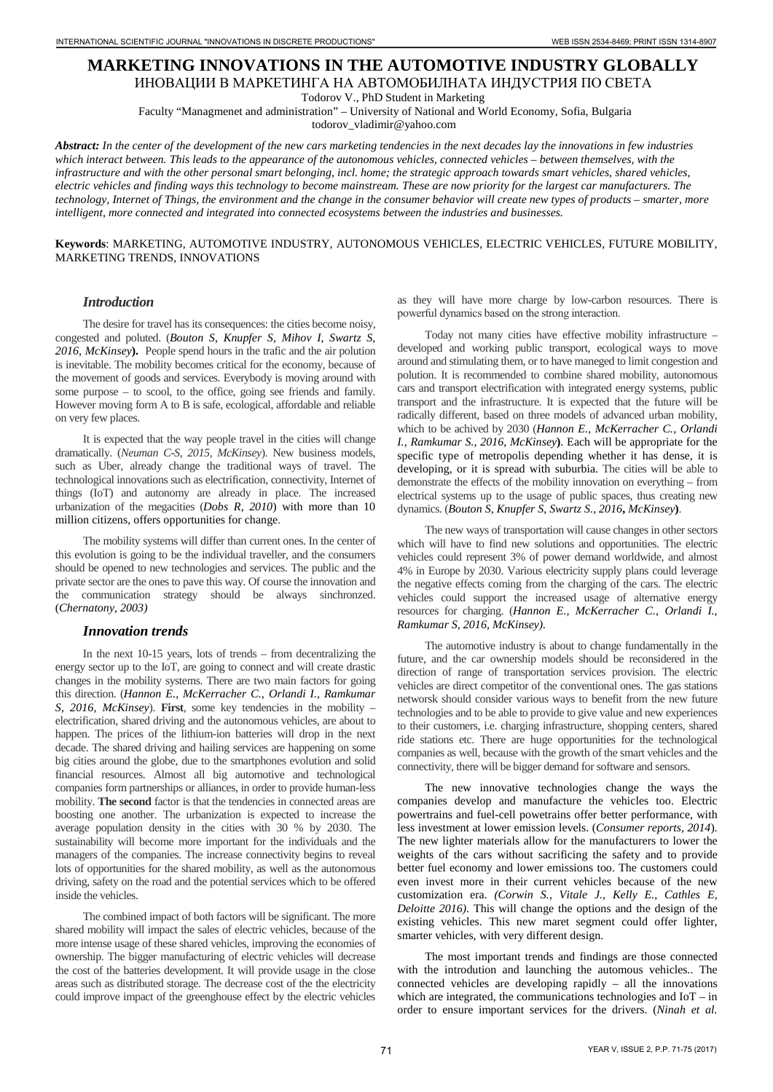# **MARKETING INNOVATIONS IN THE AUTOMOTIVE INDUSTRY GLOBALLY**

ИНОВАЦИИ В МАРКЕТИНГА НА АВТОМОБИЛНАТА ИНДУСТРИЯ ПО СВЕТА

Todorov V., PhD Student in Marketing

Faculty "Managmenet and administration" – University of National and World Economy, Sofia, Bulgaria

todorov\_vladimir@yahoo.com

*Abstract: In the center of the development of the new cars marketing tendencies in the next decades lay the innovations in few industries which interact between. This leads to the appearance of the autonomous vehicles, connected vehicles – between themselves, with the infrastructure and with the other personal smart belonging, incl. home; the strategic approach towards smart vehicles, shared vehicles, electric vehicles and finding ways this technology to become mainstream. These are now priority for the largest car manufacturers. The technology, Internet of Things, the environment and the change in the consumer behavior will create new types of products – smarter, more intelligent, more connected and integrated into connected ecosystems between the industries and businesses.*

#### **Keywords**: MARKETING, AUTOMOTIVE INDUSTRY, AUTONOMOUS VEHICLES, ELECTRIC VEHICLES, FUTURE MOBILITY, MARKETING TRENDS, INNOVATIONS

## *Introduction*

The desire for travel has its consequences: the cities become noisy, congested and poluted. (*Bouton S, Knupfer S, Mihov I, Swartz S, 2016, McKinsey***).** People spend hours in the trafic and the air polution is inevitable. The mobility becomes critical for the economy, because of the movement of goods and services. Everybody is moving around with some purpose – to scool, to the office, going see friends and family. However moving form A to B is safe, ecological, affordable and reliable on very few places.

It is expected that the way people travel in the cities will change dramatically. (*Neuman C-S, 2015, McKinsey*). New business models, such as Uber, already change the traditional ways of travel. The technological innovations such as electrification, connectivity, Internet of things (IoT) and autonomy are already in place. The increased urbanization of the megacities (*Dobs R, 2010*) with more than 10 million citizens, offers opportunities for change.

The mobility systems will differ than current ones. In the center of this evolution is going to be the individual traveller, and the consumers should be opened to new technologies and services. The public and the private sector are the ones to pave this way. Of course the innovation and the communication strategy should be always sinchronzed. (*Chernatony, 2003)*

## *Innovation trends*

In the next 10-15 years, lots of trends – from decentralizing the energy sector up to the IoT, are going to connect and will create drastic changes in the mobility systems. There are two main factors for going this direction. (*Hannon E., McKerracher C., Orlandi I., Ramkumar S, 2016, McKinsey*). **First**, some key tendencies in the mobility – electrification, shared driving and the autonomous vehicles, are about to happen. The prices of the lithium-ion batteries will drop in the next decade. The shared driving and hailing services are happening on some big cities around the globe, due to the smartphones evolution and solid financial resources. Almost all big automotive and technological companies form partnerships or alliances, in order to provide human-less mobility. **The second** factor is that the tendencies in connected areas are boosting one another. The urbanization is expected to increase the average population density in the cities with 30 % by 2030. The sustainability will become more important for the individuals and the managers of the companies. The increase connectivity begins to reveal lots of opportunities for the shared mobility, as well as the autonomous driving, safety on the road and the potential services which to be offered inside the vehicles. **THE ART ENERGY AND THE UNIT ISSN 271 IN CONSULT IN THE ART ENERGY AND THE INTERNATIONAL THE ART ENERGY AND INVESTIGATION IN THE ART ENERGY AND THE ART ENERGY AND THE ART ENERGY AND THE ART ENERGY AND THE ART ENERGY AND T** 

The combined impact of both factors will be significant. The more shared mobility will impact the sales of electric vehicles, because of the more intense usage of these shared vehicles, improving the economies of ownership. The bigger manufacturing of electric vehicles will decrease the cost of the batteries development. It will provide usage in the close areas such as distributed storage. The decrease cost of the the electricity could improve impact of the greenghouse effect by the electric vehicles

as they will have more charge by low-carbon resources. There is powerful dynamics based on the strong intеraction.

Today not many cities have effective mobility infrastructure – developed and working public transport, ecological ways to move around and stimulating them, or to have maneged to limit congestion and polution. It is recommended to combine shared mobility, autonomous cars and transport electrification with integrated energy systems, public transport and the infrastructure. It is expected that the future will be radically different, based on three models of advanced urban mobility, which to be achived by 2030 (*Hannon E., McKerracher C., Orlandi I., Ramkumar S., 2016, McKinsey***)**. Each will be appropriate for the specific type of metropolis depending whether it has dense, it is developing, or it is spread with suburbia. The cities will be able to demonstrate the effects of the mobility innovation on everything – from electrical systems up to the usage of public spaces, thus creating new dynamics. (*Bouton S, Knupfer S, Swartz S., 2016***,** *McKinsey***)**.

The new ways of transportation will cause changes in other sectors which will have to find new solutions and opportunities. The electric vehicles could represent 3% of power demand worldwide, and almost 4% in Europe by 2030. Various electricity supply plans could leverage the negative effects coming from the charging of the cars. The electric vehicles could support the increased usage of alternative energy resources for charging. (*Hannon E., McKerracher C., Orlandi I., Ramkumar S, 2016, McKinsey).*

The automotive industry is about to change fundamentally in the future, and the car ownership models should be reconsidered in the direction of range of transportation services provision. The electric vehicles are direct competitor of the conventional ones. The gas stations networsk should consider various ways to benefit from the new future technologies and to be able to provide to give value and new experiences to their customers, i.e. charging infrastructure, shopping centers, shared ride stations etc. There are huge opportunities for the technological companies as well, because with the growth of the smart vehicles and the connectivity, there will be bigger demand for software and sensors.

The new innovative technologies change the ways the companies develop and manufacture the vehicles too. Electric powertrains and fuel-cell powetrains offer better performance, with less investment at lower emission levels. (*Consumer reports, 2014*). The new lighter materials allow for the manufacturers to lower the weights of the cars without sacrificing the safety and to provide better fuel economy and lower emissions too. The customers could even invest more in their current vehicles because of the new customization era. *(Corwin S., Vitale J., Kelly E., Cathles E, Deloitte 2016).* This will change the options and the design of the existing vehicles. This new maret segment could offer lighter, smarter vehicles, with very different design.

The most important trends and findings are those connected with the introdution and launching the automous vehicles.. The connected vehicles are developing rapidly – all the innovations which are integrated, the communications technologies and IoT – in order to ensure important services for the drivers. (*Ninah et al.*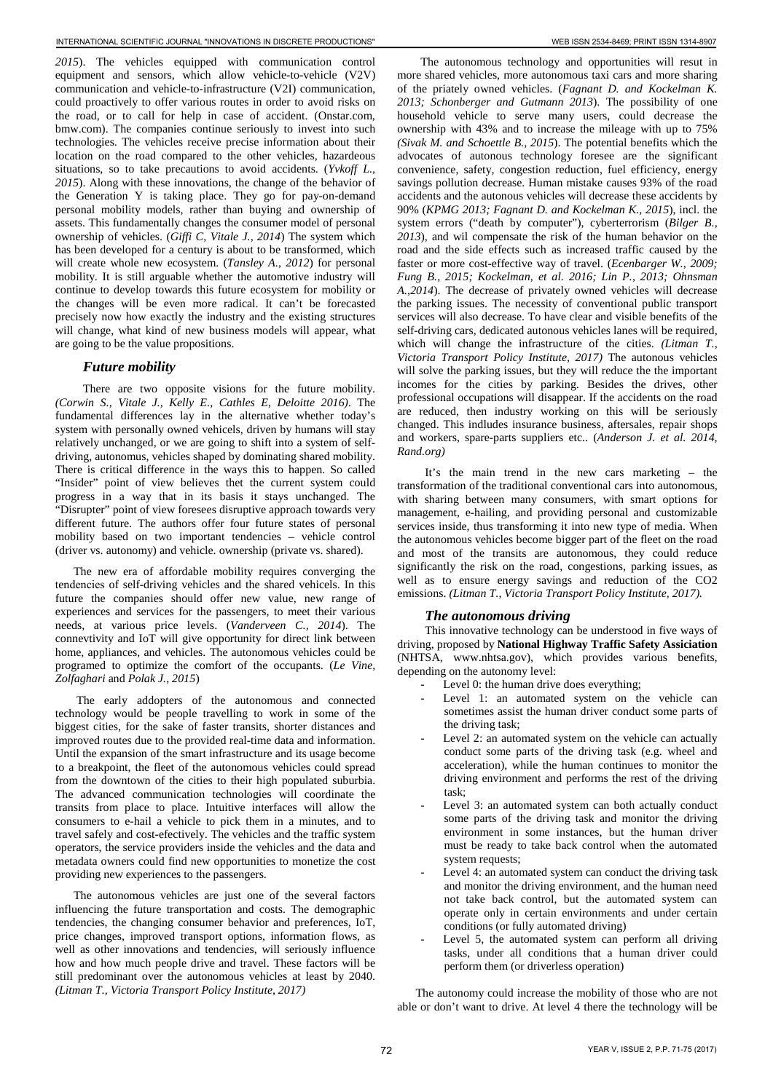*2015*). The vehicles equipped with communication control equipment and sensors, which allow vehicle-to-vehicle (V2V) communication and vehicle-to-infrastructure (V2I) communication, could proactively to offer various routes in order to avoid risks on the road, or to call for help in case of accident. (Onstar.com, bmw.com). The companies continue seriously to invest into such technologies. The vehicles receive precise information about their location on the road compared to the other vehicles, hazardeous situations, so to take precautions to avoid accidents. (*Yvkoff L., 2015*). Along with these innovations, the change of the behavior of the Generation Y is taking place. They go for pay-on-demand personal mobility models, rather than buying and ownership of assets. This fundamentally changes the consumer model of personal ownership of vehicles. (*Giffi C, Vitale J., 2014*) The system which has been developed for a century is about to be transformed, which will create whole new ecosystem. (*Tansley A., 2012*) for personal mobility. It is still arguable whether the automotive industry will continue to develop towards this future ecosystem for mobility or the changes will be even more radical. It can't be forecasted precisely now how exactly the industry and the existing structures will change, what kind of new business models will appear, what are going to be the value propositions.

#### *Future mobility*

There are two opposite visions for the future mobility. *(Corwin S., Vitale J., Kelly E., Cathles E, Deloitte 2016)*. The fundamental differences lay in the alternative whether today's system with personally owned vehicels, driven by humans will stay relatively unchanged, or we are going to shift into a system of selfdriving, autonomus, vehicles shaped by dominating shared mobility. There is critical difference in the ways this to happen. So called "Insider" point of view believes thet the current system could progress in a way that in its basis it stays unchanged. The "Disrupter" point of view foresees disruptive approach towards very different future. The authors offer four future states of personal mobility based on two important tendencies – vehicle control (driver vs. autonomy) and vehicle. ownership (private vs. shared).

The new era of affordable mobility requires converging the tendenciеs of self-driving vehicles and the shared vehicels. In this future the companies should offer new value, new range of experiences and services for the passengers, to meet their various needs, at various price levels. (*Vanderveen C., 2014*). The connevtivity and IoT will give opportunity for direct link between home, appliances, and vehicles. The autonomous vehicles could be programed to optimize the comfort of the occupants. (*Le Vine, Zolfaghari* and *Polak J.*, *2015*)

The early addopters of the autonomous and connected technology would be people travelling to work in some of the biggest cities, for the sake of faster transits, shorter distances and improved routes due to the provided real-time data and information. Until the expansion of the smart infrastructure and its usage become to a breakpoint, the fleet of the autonomous vehicles could spread from the downtown of the cities to their high populated suburbia. The advanced communication technologies will coordinate the transits from place to place. Intuitive interfaces will allow the consumers to e-hail a vehicle to pick them in a minutes, and to travel safely and cost-efectively. The vehicles and the traffic system operators, the service providers inside the vehicles and the data and metadata owners could find new opportunities to monetize the cost providing new experiences to the passengers.

The autonomous vehicles are just one of the several factors influencing the future transportation and costs. The demographic tendencies, the changing consumer behavior and preferences, IoT, price changes, improved transport options, information flows, as well as other innovations and tendencies, will seriously influence how and how much people drive and travel. These factors will be still predominant over the autonomous vehicles at least by 2040. *(Litman T., Victoria Transport Policy Institute, 2017)*

The autonomous technology and opportunities will resut in more shared vehicles, more autonomous taxi cars and more sharing of the priately owned vehicles. (*Fagnant D. and Kockelman K. 2013; Schonberger and Gutmann 2013*). The possibility of one household vehicle to serve many users, could decrease the ownership with 43% and to increase the mileage with up to 75% *(Sivak M. and Schoettle B., 2015*). The potential benefits which the advocates of autonous technology foresee are the significant convenience, safety, congestion reduction, fuel efficiency, energy savings pollution decrease. Human mistake causes 93% of the road accidents and the autonous vehicles will decrease these accidents by 90% (*KPMG 2013; Fagnant D. and Kockelman K., 2015*), incl. the system errors ("death by computer"), cyberterrorism (*Bilger B., 2013*), and wil compensate the risk of the human behavior on the road and the side effects such as increased traffic caused by the faster or more cost-effective way of travel. (*Ecenbarger W., 2009; Fung B., 2015; Kockelman, et al. 2016; Lin P., 2013; Ohnsman A.,2014*). The decrease of privately owned vehicles will decrease the parking issues. The necessity of conventional public transport services will also decrease. To have clear and visible benefits of the self-driving cars, dedicated autonous vehicles lanes will be required, which will change the infrastructure of the cities. *(Litman T., Victoria Transport Policy Institute, 2017)* The autonous vehicles will solve the parking issues, but they will reduce the the important incomes for the cities by parking. Besides the drives, other professional occupations will disappear. If the accidents on the road are reduced, then industry working on this will be seriously changed. This indludes insurance business, aftersales, repair shops and workers, spare-parts suppliers etc.. (*Anderson J. et al. 2014, Rand.org)* **The two contribute in the contribute in the contribute in the contribute in the contribute in the contribute in the contribute in the contribute in the contribute in the contribute in the contribute in the contribute in** 

It's the main trend in the new cars marketing – the transformation of the traditional conventional cars into autonomous, with sharing between many consumers, with smart options for management, e-hailing, and providing personal and customizable services inside, thus transforming it into new type of media. When the autonomous vehicles become bigger part of the fleet on the road and most of the transits are autonomous, they could reduce significantly the risk on the road, congestions, parking issues, as well as to ensure energy savings and reduction of the CO2 emissions. *(Litman T., Victoria Transport Policy Institute, 2017).*

## *The autonomous driving*

This innovative technology can be understood in five ways of driving, proposed by **National Highway Traffic Safety Assiciation** (NHTSA, www.nhtsa.gov), which provides various benefits, depending on the autonomy level:

- Level 0: the human drive does everything;
- Level 1: an automated system on the vehicle can sometimes assist the human driver conduct some parts of the driving task;
- Level 2: an automated system on the vehicle can actually conduct some parts of the driving task (e.g. wheel and acceleration), while the human continues to monitor the driving environment and performs the rest of the driving task;
- Level 3: an automated system can both actually conduct some parts of the driving task and monitor the driving environment in some instances, but the human driver must be ready to take back control when the automated system requests;
- Level 4: an automated system can conduct the driving task and monitor the driving environment, and the human need not take back control, but the automated system can operate only in certain environments and under certain conditions (or fully automated driving)
- Level 5, the automated system can perform all driving tasks, under all conditions that a human driver could perform them (or driverless operation)

The autonomy could increase the mobility of those who are not able or don't want to drive. At level 4 there the technology will be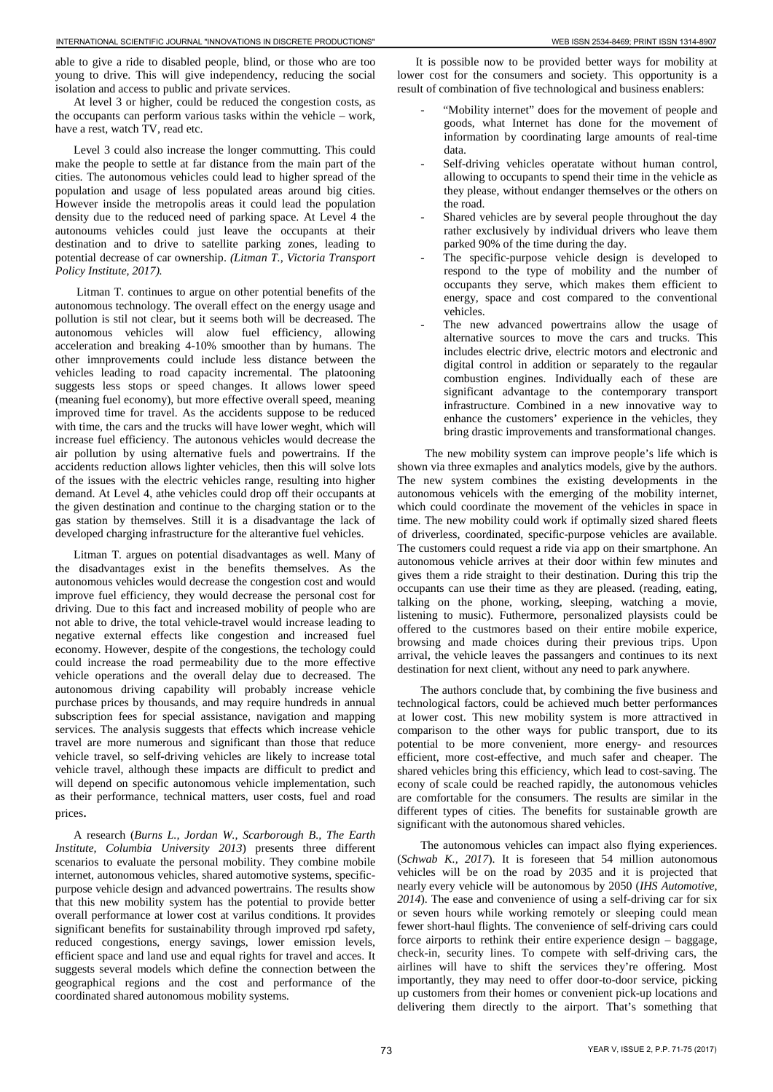able to give a ride to disabled people, blind, or those who are too young to drive. This will give independency, reducing the social isolation and access to public and private services.

At level 3 or higher, could be reduced the congestion costs, as the occupants can perform various tasks within the vehicle – work, have a rest, watch TV, read etc.

Level 3 could also increase the longer commutting. This could make the people to settle at far distance from the main part of the cities. The autonomous vehicles could lead to higher spread of the population and usage of less populated areas around big cities. However inside the metropolis areas it could lead the population density due to the reduced need of parking space. At Level 4 the autonoums vehicles could just leave the occupants at their destination and to drive to satellite parking zones, leading to potential decrease of car ownership. *(Litman T., Victoria Transport Policy Institute, 2017).*

Litman T. continues to argue on other potential benefits of the autonomous technology. The overall effect on the energy usage and pollution is stil not clear, but it seems both will be decreased. The autonomous vehicles will alow fuel efficiency, allowing acceleration and breaking 4-10% smoother than by humans. The other imnprovements could include less distance between the vehicles leading to road capacity incremental. The platooning suggests less stops or speed changes. It allows lower speed (meaning fuel economy), but more effective overall speed, meaning improved time for travel. As the accidents suppose to be reduced with time, the cars and the trucks will have lower weght, which will increase fuel efficiency. The autonous vehicles would decrease the air pollution by using alternative fuels and powertrains. If the accidents reduction allows lighter vehicles, then this will solve lots of the issues with the electric vehicles range, resulting into higher demand. At Level 4, аthe vehicles could drop off their occupants at the given destination and continue to the charging station or to the gas station by themselves. Still it is a disadvantage the lack of developed charging infrastructure for the alterantive fuel vehicles.

Litman T. argues on potential disadvantages as well. Many of the disadvantages exist in the benefits themselves. As the autonomous vehicles would decrease the congestion cost and would improve fuel efficiency, they would decrease the personal cost for driving. Due to this fact and increased mobility of people who are not able to drive, the total vehicle-travel would increase leading to negative external effects like congestion and increased fuel economy. However, despite of the congestions, the techology could could increase the road permeability due to the more effective vehicle operations and the overall delay due to decreased. The autonomous driving capability will probably increase vehicle purchase prices by thousands, and may require hundreds in annual subscription fees for special assistance, navigation and mapping services. The analysis suggests that effects which increase vehicle travel are more numerous and significant than those that reduce vehicle travel, so self-driving vehicles are likely to increase total vehicle travel, although these impacts are difficult to predict and will depend on specific autonomous vehicle implementation, such as their performance, technical matters, user costs, fuel and road prices. **THE ENERGY AS CIRCULAR CONTENTIFIC SCIENCE AND THE ENERGY ISSN 2534-8469; PRINT ISSN 2534-8469; PRINT ISSN 2534-8469; PRIN 2734-8469; PRIN 2734-8469; PRIN 2734-8469; PRIN 2734-8469; PRIN 2734-8469; PRIN 2734-8454-8469;** 

A research (*Burns L., Jordan W., Scarborough B., The Earth Institute, Columbia University 2013*) presents three different scenarios to evaluate the personal mobility. They combine mobile internet, autonomous vehicles, shared automotive systems, specificpurpose vehicle design and advanced powertrains. The results show that this new mobility system has the potential to provide better overall performance at lower cost at varilus conditions. It provides significant benefits for sustainability through improved rpd safety, reduced congestions, energy savings, lower emission levels, efficient space and land use and equal rights for travel and acces. It suggests several models which define the connection between the geographical regions and the cost and performance of the coordinated shared autonomous mobility systems.

It is possible now to be provided better ways for mobility at lower cost for the consumers and society. This opportunity is a result of combination of five technological and business enablers:

- "Mobility internet" does for the movement of people and goods, what Internet has done for the movement of information by coordinating large amounts of real-time data.
- Self-driving vehicles operatate without human control, allowing to occupants to spend their time in the vehicle as they please, without endanger themselves or the others on the road.
- Shared vehicles are by several people throughout the day rather exclusively by individual drivers who leave them parked 90% of the time during the day.
- The specific-purpose vehicle design is developed to respond to the type of mobility and the number of occupants they serve, which makes them efficient to energy, space and cost compared to the conventional vehicles.
- The new advanced powertrains allow the usage of alternative sources to move the cars and trucks. This includes electric drive, electric motors and electronic and digital control in addition or separately to the regaular combustion engines. Individually each of these are significant advantage to the contemporary transport infrastructure. Combined in a new innovative way to enhance the customers' experience in the vehicles, they bring drastic improvements and transformational changes.

The new mobility system can improve people's life which is shown via three exmaples and analytics models, give by the authors. The new system combines the existing developments in the autonomous vehicels with the emerging of the mobility internet, which could coordinate the movement of the vehicles in space in time. The new mobility could work if optimally sized shared fleets of driverless, coordinated, specific‐purpose vehicles are available. The customers could request a ride via app on their smartphone. An autonomous vehicle arrives at their door within few minutes and gives them a ride straight to their destination. During this trip the occupants can use their time as they are pleased. (reading, eating, talking on the phone, working, sleeping, watching a movie, listening to music). Futhermore, personalized playsists could be offered to the custmores based on their entire mobile experice, browsing and made choices during their previous trips. Upon arrival, the vehicle leaves the passangers and continues to its next destination for next client, without any need to park anywhere.

The authors conclude that, by combining the five business and technological factors, could be achieved much better performances at lower cost. This new mobility system is more attractived in comparison to the other ways for public transport, due to its potential to be more convenient, more energy- and resources efficient, more cost-effective, and much safer and cheaper. The shared vehicles bring this efficiency, which lead to cost-saving. The econy of scale could be reached rapidly, the autonomous vehicles are comfortable for the consumers. The results are similar in the different types of cities. The benefits for sustainable growth are significant with the autonomous shared vehicles.

The autonomous vehicles can impact also flying experiences. (*Schwab K., 2017*). It is foreseen that 54 million autonomous vehicles will be on the road by 2035 and it is projected that nearly every vehicle will be autonomous by 2050 (*IHS Automotive, 2014*). The ease and convenience of using a self-driving car for six or seven hours while working remotely or sleeping could mean fewer short-haul flights. The convenience of self-driving cars could force airports to rethink their entire experience design – baggage, check-in, security lines. To compete with self-driving cars, the airlines will have to shift the services they're offering. Most importantly, they may need to offer door-to-door service, picking up customers from their homes or convenient pick-up locations and delivering them directly to the airport. That's something that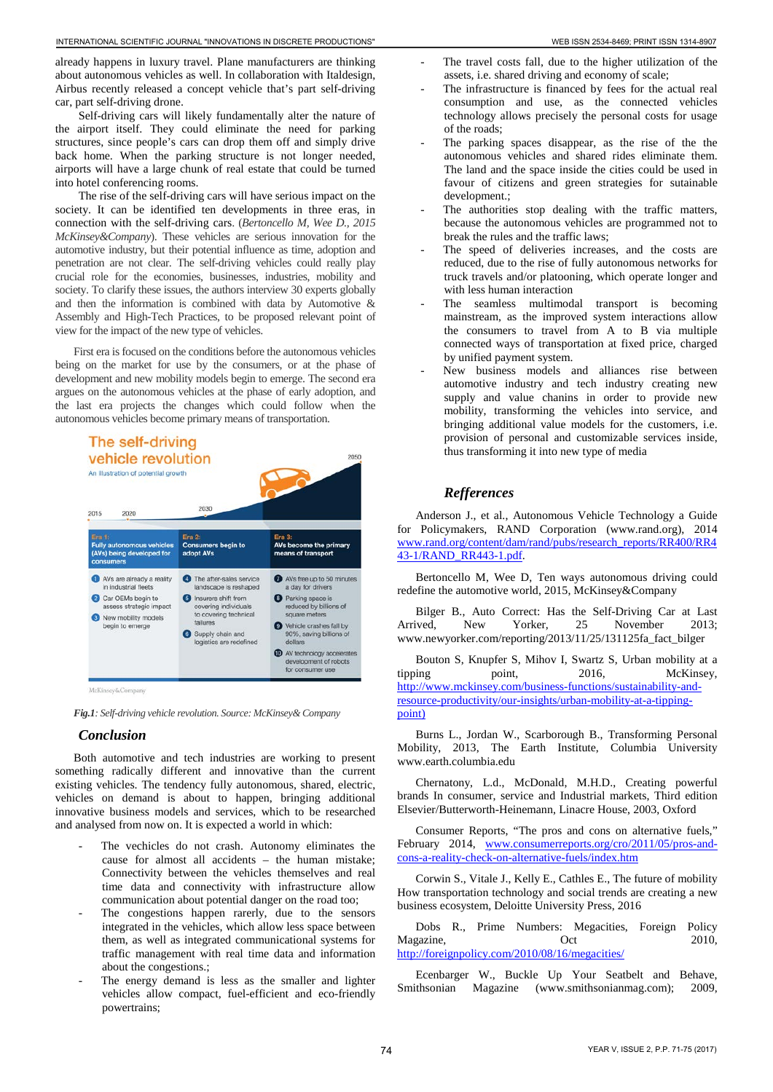already happens in luxury travel. Plane manufacturers are thinking about autonomous vehicles as well. In collaboration with Italdesign, Airbus recently released a concept vehicle that's part self-driving car, part self-driving drone.

Self-driving cars will likely fundamentally alter the nature of the airport itself. They could eliminate the need for parking structures, since people's cars can drop them off and simply drive back home. When the parking structure is not longer needed, airports will have a large chunk of real estate that could be turned into hotel conferencing rooms.

The rise of the self-driving cars will have serious impact on the society. It can be identified ten developments in three eras, in connection with the self-driving cars. (*Bertoncello M, Wee D., 2015 McKinsey&Company*). These vehicles are serious innovation for the automotive industry, but their potential influence as time, adoption and penetration are not clear. The self-driving vehicles could really play crucial role for the economies, businesses, industries, mobility and society. To clarify these issues, the authors interview 30 experts globally and then the information is combined with data by Automotive & Assembly and High-Tech Practices, to be proposed relevant point of view for the impact of the new type of vehicles.

First era is focused on the conditions before the autonomous vehicles being on the market for use by the consumers, or at the phase of development and new mobility models begin to emerge. The second era argues on the autonomous vehicles at the phase of early adoption, and the last era projects the changes which could follow when the autonomous vehicles become primary means of transportation.



*Fig.1: Self-driving vehicle revolution. Source: McKinsey& Company*

# *Conclusion*

Both automotive and tech industries are working to present something radically different and innovative than the current existing vehicles. The tendency fully autonomous, shared, electric, vehicles on demand is about to happen, bringing additional innovative business models and services, which to be researched and analysed from now on. It is expected a world in which:

- The vechicles do not crash. Autonomy eliminates the cause for almost all accidents – the human mistake; Connectivity between the vehicles themselves and real time data and connectivity with infrastructure allow communication about potential danger on the road too;
- The congestions happen rarerly, due to the sensors integrated in the vehicles, which allow less space between them, as well as integrated communicational systems for traffic management with real time data and information about the congestions.;
- The energy demand is less as the smaller and lighter vehicles allow compact, fuel-efficient and eco-friendly powertrains;
- The travel costs fall, due to the higher utilization of the assets, i.e. shared driving and economy of scale;
- The infrastructure is financed by fees for the actual real consumption and use, as the connected vehicles technology allows precisely the personal costs for usage of the roads;
- The parking spaces disappear, as the rise of the the autonomous vehicles and shared rides eliminate them. The land and the space inside the cities could be used in favour of citizens and green strategies for sutainable development.;
- The authorities stop dealing with the traffic matters, because the autonomous vehicles are programmed not to break the rules and the traffic laws;
- The speed of deliveries increases, and the costs are reduced, due to the rise of fully autonomous networks for truck travels and/or platooning, which operate longer and with less human interaction
- The seamless multimodal transport is becoming mainstream, as the improved system interactions allow the consumers to travel from A to B via multiple connected ways of transportation at fixed price, charged by unified payment system.
- New business models and alliances rise between automotive industry and tech industry creating new supply and value chanins in order to provide new mobility, transforming the vehicles into service, and bringing additional value models for the customers, i.e. provision of personal and customizable services inside, thus transforming it into new type of media

# *Refferences*

Anderson J., et al., Autonomous Vehicle Technology a Guide for Policymakers, RAND Corporation (www.rand.org), 2014 [www.rand.org/content/dam/rand/pubs/research\\_reports/RR400/RR4](http://www.rand.org/content/dam/rand/pubs/research_reports/RR400/RR443-1/RAND_RR443-1.pdf) [43-1/RAND\\_RR443-1.pdf.](http://www.rand.org/content/dam/rand/pubs/research_reports/RR400/RR443-1/RAND_RR443-1.pdf) 

Bertoncello M, Wee D, Ten ways autonomous driving could redefine the automotive world, 2015, McKinsey&Company

Bilger B., Auto Correct: Has the Self-Driving Car at Last Arrived, New Yorker, 25 November 2013; www.newyorker.com/reporting/2013/11/25/131125fa\_fact\_bilger

Bouton S, Knupfer S, Mihov I, Swartz S, Urban mobility at a tipping point, 2016, McKinsey, [http://www.mckinsey.com/business-functions/sustainability-and](http://www.mckinsey.com/business-functions/sustainability-and-resource-productivity/our-insights/urban-mobility-at-a-tipping-point))[resource-productivity/our-insights/urban-mobility-at-a-tipping](http://www.mckinsey.com/business-functions/sustainability-and-resource-productivity/our-insights/urban-mobility-at-a-tipping-point))[point\)](http://www.mckinsey.com/business-functions/sustainability-and-resource-productivity/our-insights/urban-mobility-at-a-tipping-point)) 

Burns L., Jordan W., Scarborough B., Transforming Personal Mobility, 2013, The Earth Institute, Columbia University www.earth.columbia.edu

Chernatony, L.d., McDonald, M.H.D., Creating powerful brands In consumer, service and Industrial markets, Third edition Elsevier/Butterworth-Heinemann, Linacre House, 2003, Oxford

Consumer Reports, "The pros and cons on alternative fuels," February 2014, [www.consumerreports.org/cro/2011/05/pros-and](http://www.consumerreports.org/cro/2011/05/pros-and-cons-a-reality-check-on-alternative-fuels/index.htm)[cons-a-reality-check-on-alternative-fuels/index.htm](http://www.consumerreports.org/cro/2011/05/pros-and-cons-a-reality-check-on-alternative-fuels/index.htm)

Corwin S., Vitale J., Kelly E., Cathles E., The future of mobility How transportation technology and social trends are creating a new business ecosystem, Deloitte University Press, 2016

Dobs R., Prime Numbers: Megacities, Foreign Policy Magazine. Oct 2010, <http://foreignpolicy.com/2010/08/16/megacities/>

Ecenbarger W., Buckle Up Your Seatbelt and Behave, Smithsonian Magazine (www.smithsonianmag.com); 2009,